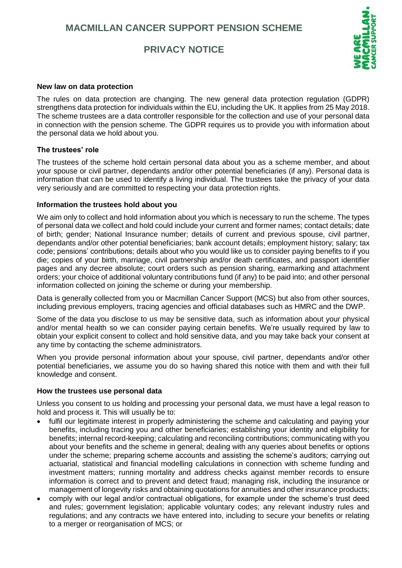**MACMILLAN CANCER SUPPORT PENSION SCHEME**

# **PRIVACY NOTICE**



#### **New law on data protection**

The rules on data protection are changing. The new general data protection regulation (GDPR) strengthens data protection for individuals within the EU, including the UK. It applies from 25 May 2018. The scheme trustees are a data controller responsible for the collection and use of your personal data in connection with the pension scheme. The GDPR requires us to provide you with information about the personal data we hold about you.

# **The trustees' role**

The trustees of the scheme hold certain personal data about you as a scheme member, and about your spouse or civil partner, dependants and/or other potential beneficiaries (if any). Personal data is information that can be used to identify a living individual. The trustees take the privacy of your data very seriously and are committed to respecting your data protection rights.

#### **Information the trustees hold about you**

We aim only to collect and hold information about you which is necessary to run the scheme. The types of personal data we collect and hold could include your current and former names; contact details; date of birth; gender; National Insurance number; details of current and previous spouse, civil partner, dependants and/or other potential beneficiaries; bank account details; employment history; salary; tax code; pensions' contributions; details about who you would like us to consider paying benefits to if you die; copies of your birth, marriage, civil partnership and/or death certificates, and passport identifier pages and any decree absolute; court orders such as pension sharing, earmarking and attachment orders; your choice of additional voluntary contributions fund (if any) to be paid into; and other personal information collected on joining the scheme or during your membership.

Data is generally collected from you or Macmillan Cancer Support (MCS) but also from other sources, including previous employers, tracing agencies and official databases such as HMRC and the DWP.

Some of the data you disclose to us may be sensitive data, such as information about your physical and/or mental health so we can consider paying certain benefits. We're usually required by law to obtain your explicit consent to collect and hold sensitive data, and you may take back your consent at any time by contacting the scheme administrators.

When you provide personal information about your spouse, civil partner, dependants and/or other potential beneficiaries, we assume you do so having shared this notice with them and with their full knowledge and consent.

#### **How the trustees use personal data**

Unless you consent to us holding and processing your personal data, we must have a legal reason to hold and process it. This will usually be to:

- fulfil our legitimate interest in properly administering the scheme and calculating and paying your benefits, including tracing you and other beneficiaries; establishing your identity and eligibility for benefits; internal record-keeping; calculating and reconciling contributions; communicating with you about your benefits and the scheme in general; dealing with any queries about benefits or options under the scheme; preparing scheme accounts and assisting the scheme's auditors; carrying out actuarial, statistical and financial modelling calculations in connection with scheme funding and investment matters; running mortality and address checks against member records to ensure information is correct and to prevent and detect fraud; managing risk, including the insurance or management of longevity risks and obtaining quotations for annuities and other insurance products;
- comply with our legal and/or contractual obligations, for example under the scheme's trust deed and rules; government legislation; applicable voluntary codes; any relevant industry rules and regulations; and any contracts we have entered into, including to secure your benefits or relating to a merger or reorganisation of MCS; or